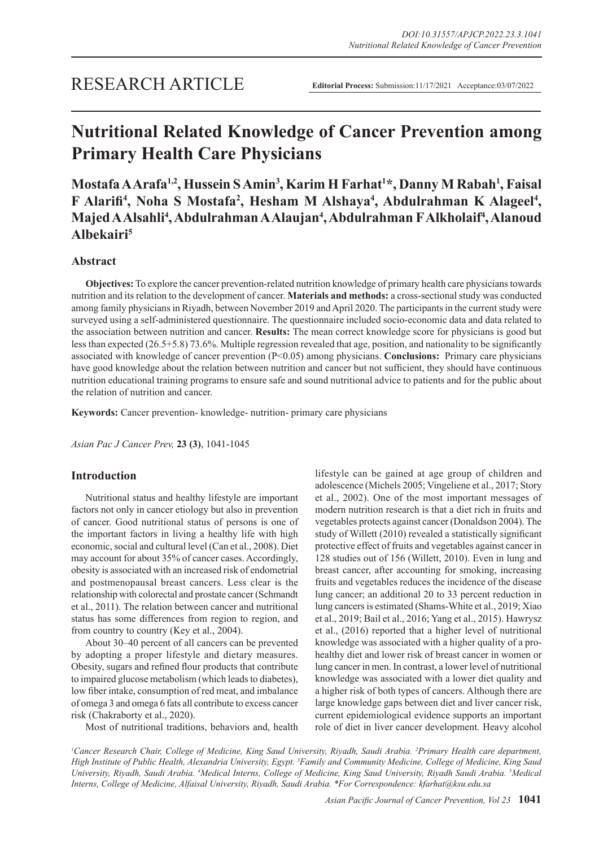# **Nutritional Related Knowledge of Cancer Prevention among Primary Health Care Physicians**

**Mostafa A Arafa1,2, Hussein S Amin3 , Karim H Farhat1 \*, Danny M Rabah1 , Faisal**  F Alarifi<sup>4</sup>, Noha S Mostafa<sup>2</sup>, Hesham M Alshaya<sup>4</sup>, Abdulrahman K Alageel<sup>4</sup>, **Majed A Alsahli4 , Abdulrahman A Alaujan4 , Abdulrahman F Alkholaif4 , Alanoud Albekairi5**

# **Abstract**

**Objectives:** To explore the cancer prevention-related nutrition knowledge of primary health care physicians towards nutrition and its relation to the development of cancer. **Materials and methods:** a cross-sectional study was conducted among family physicians in Riyadh, between November 2019 and April 2020. The participants in the current study were surveyed using a self-administered questionnaire. The questionnaire included socio-economic data and data related to the association between nutrition and cancer. **Results:** The mean correct knowledge score for physicians is good but less than expected (26.5+5.8) 73.6%. Multiple regression revealed that age, position, and nationality to be significantly associated with knowledge of cancer prevention (P<0.05) among physicians. **Conclusions:** Primary care physicians have good knowledge about the relation between nutrition and cancer but not sufficient, they should have continuous nutrition educational training programs to ensure safe and sound nutritional advice to patients and for the public about the relation of nutrition and cancer.

**Keywords:** Cancer prevention- knowledge- nutrition- primary care physicians

*Asian Pac J Cancer Prev,* **23 (3)**, 1041-1045

# **Introduction**

Nutritional status and healthy lifestyle are important factors not only in cancer etiology but also in prevention of cancer. Good nutritional status of persons is one of the important factors in living a healthy life with high economic, social and cultural level (Can et al., 2008). Diet may account for about 35% of cancer cases. Accordingly, obesity is associated with an increased risk of endometrial and postmenopausal breast cancers. Less clear is the relationship with colorectal and prostate cancer (Schmandt et al., 2011). The relation between cancer and nutritional status has some differences from region to region, and from country to country (Key et al., 2004).

About 30–40 percent of all cancers can be prevented by adopting a proper lifestyle and dietary measures. Obesity, sugars and refined flour products that contribute to impaired glucose metabolism (which leads to diabetes), low fiber intake, consumption of red meat, and imbalance of omega 3 and omega 6 fats all contribute to excess cancer risk (Chakraborty et al., 2020).

Most of nutritional traditions, behaviors and, health

lifestyle can be gained at age group of children and adolescence (Michels 2005; Vingeliene et al., 2017; Story et al., 2002). One of the most important messages of modern nutrition research is that a diet rich in fruits and vegetables protects against cancer (Donaldson 2004). The study of Willett (2010) revealed a statistically significant protective effect of fruits and vegetables against cancer in 128 studies out of 156 (Willett, 2010). Even in lung and breast cancer, after accounting for smoking, increasing fruits and vegetables reduces the incidence of the disease lung cancer; an additional 20 to 33 percent reduction in lung cancers is estimated (Shams-White et al., 2019; Xiao et al., 2019; Bail et al., 2016; Yang et al., 2015). Hawrysz et al., (2016) reported that a higher level of nutritional knowledge was associated with a higher quality of a prohealthy diet and lower risk of breast cancer in women or lung cancer in men. In contrast, a lower level of nutritional knowledge was associated with a lower diet quality and a higher risk of both types of cancers. Although there are large knowledge gaps between diet and liver cancer risk, current epidemiological evidence supports an important role of diet in liver cancer development. Heavy alcohol

*1 Cancer Research Chair, College of Medicine, King Saud University, Riyadh, Saudi Arabia. 2 Primary Health care department, High Institute of Public Health, Alexandria University, Egypt. 3 Family and Community Medicine, College of Medicine, King Saud*  University, Riyadh, Saudi Arabia. <sup>4</sup>Medical Interns, College of Medicine, King Saud University, Riyadh Saudi Arabia. <sup>5</sup>Medical *Interns, College of Medicine, Alfaisal University, Riyadh, Saudi Arabia. \*For Correspondence: kfarhat@ksu.edu.sa*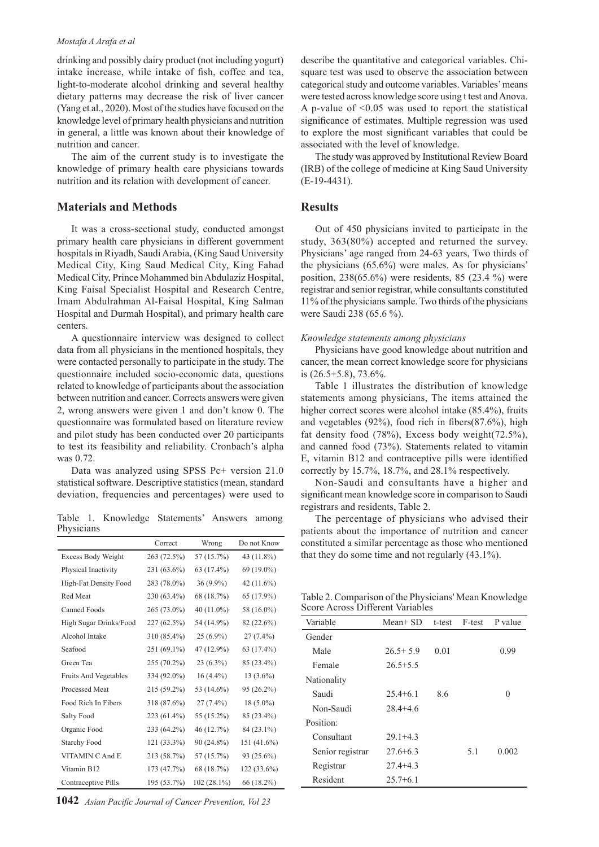#### *Mostafa A Arafa et al*

drinking and possibly dairy product (not including yogurt) intake increase, while intake of fish, coffee and tea, light-to-moderate alcohol drinking and several healthy dietary patterns may decrease the risk of liver cancer (Yang et al., 2020). Most of the studies have focused on the knowledge level of primary health physicians and nutrition in general, a little was known about their knowledge of nutrition and cancer.

The aim of the current study is to investigate the knowledge of primary health care physicians towards nutrition and its relation with development of cancer.

## **Materials and Methods**

It was a cross-sectional study, conducted amongst primary health care physicians in different government hospitals in Riyadh, Saudi Arabia, (King Saud University Medical City, King Saud Medical City, King Fahad Medical City, Prince Mohammed bin Abdulaziz Hospital, King Faisal Specialist Hospital and Research Centre, Imam Abdulrahman Al-Faisal Hospital, King Salman Hospital and Durmah Hospital), and primary health care centers.

A questionnaire interview was designed to collect data from all physicians in the mentioned hospitals, they were contacted personally to participate in the study. The questionnaire included socio-economic data, questions related to knowledge of participants about the association between nutrition and cancer. Corrects answers were given 2, wrong answers were given 1 and don't know 0. The questionnaire was formulated based on literature review and pilot study has been conducted over 20 participants to test its feasibility and reliability. Cronbach's alpha was 0.72.

Data was analyzed using SPSS Pc+ version 21.0 statistical software. Descriptive statistics (mean, standard deviation, frequencies and percentages) were used to

Table 1. Knowledge Statements' Answers among **Physicians** 

|                              | Correct       | Wrong         | Do not Know  |
|------------------------------|---------------|---------------|--------------|
| Excess Body Weight           | 263 (72.5%)   | 57 (15.7%)    | 43 (11.8%)   |
| Physical Inactivity          | 231 (63.6%)   | 63 (17.4%)    | 69 (19.0%)   |
| High-Fat Density Food        | 283 (78.0%)   | $36(9.9\%)$   | 42 (11.6%)   |
| Red Meat                     | 230 (63.4%)   | 68 (18.7%)    | 65 (17.9%)   |
| Canned Foods                 | 265 (73.0%)   | 40 (11.0%)    | 58 (16.0%)   |
| High Sugar Drinks/Food       | $227(62.5\%)$ | 54 (14.9%)    | 82 (22.6%)   |
| Alcohol Intake               | 310 (85.4%)   | $25(6.9\%)$   | $27(7.4\%)$  |
| Seafood                      | $251(69.1\%)$ | 47 (12.9%)    | 63 (17.4%)   |
| Green Tea                    | 255 (70.2%)   | $23(6.3\%)$   | 85 (23.4%)   |
| <b>Fruits And Vegetables</b> | 334 (92.0%)   | $16(4.4\%)$   | $13(3.6\%)$  |
| <b>Processed Meat</b>        | $215(59.2\%)$ | 53 (14.6%)    | 95 (26.2%)   |
| Food Rich In Fibers          | 318 (87.6%)   | $27(7.4\%)$   | $18(5.0\%)$  |
| Salty Food                   | 223 (61.4%)   | 55 (15.2%)    | 85 (23.4%)   |
| Organic Food                 | 233 (64.2%)   | 46 (12.7%)    | 84 (23.1%)   |
| <b>Starchy Food</b>          | 121 (33.3%)   | 90 (24.8%)    | 151 (41.6%)  |
| VITAMIN C And E              | 213 (58.7%)   | 57 (15.7%)    | $93(25.6\%)$ |
| Vitamin B12                  | 173 (47.7%)   | 68 (18.7%)    | 122 (33.6%)  |
| Contraceptive Pills          | 195 (53.7%)   | $102(28.1\%)$ | 66 (18.2%)   |

**1042** *Asian Pacific Journal of Cancer Prevention, Vol 23*

describe the quantitative and categorical variables. Chisquare test was used to observe the association between categorical study and outcome variables. Variables' means were tested across knowledge score using t test and Anova. A p-value of  $\leq 0.05$  was used to report the statistical significance of estimates. Multiple regression was used to explore the most significant variables that could be associated with the level of knowledge.

The study was approved by Institutional Review Board (IRB) of the college of medicine at King Saud University (E-19-4431).

## **Results**

Out of 450 physicians invited to participate in the study, 363(80%) accepted and returned the survey. Physicians' age ranged from 24-63 years, Two thirds of the physicians (65.6%) were males. As for physicians' position, 238(65.6%) were residents, 85 (23.4 %) were registrar and senior registrar, while consultants constituted 11% of the physicians sample. Two thirds of the physicians were Saudi 238 (65.6 %).

#### *Knowledge statements among physicians*

Physicians have good knowledge about nutrition and cancer, the mean correct knowledge score for physicians is (26.5+5.8), 73.6%.

Table 1 illustrates the distribution of knowledge statements among physicians, The items attained the higher correct scores were alcohol intake (85.4%), fruits and vegetables (92%), food rich in fibers(87.6%), high fat density food (78%), Excess body weight(72.5%), and canned food (73%). Statements related to vitamin E, vitamin B12 and contraceptive pills were identified correctly by 15.7%, 18.7%, and 28.1% respectively.

Non-Saudi and consultants have a higher and significant mean knowledge score in comparison to Saudi registrars and residents, Table 2.

The percentage of physicians who advised their patients about the importance of nutrition and cancer constituted a similar percentage as those who mentioned that they do some time and not regularly (43.1%).

Table 2. Comparison of the Physicians' Mean Knowledge Score Across Different Variables

| Variable         | $Mean+SD$    | t-test | F-test | P value |
|------------------|--------------|--------|--------|---------|
| Gender           |              |        |        |         |
| Male             | $26.5 + 5.9$ | 0.01   |        | 0.99    |
| Female           | $26.5 + 5.5$ |        |        |         |
| Nationality      |              |        |        |         |
| Saudi            | $25.4 + 6.1$ | 8.6    |        | 0       |
| Non-Saudi        | $28.4 + 4.6$ |        |        |         |
| Position:        |              |        |        |         |
| Consultant       | $29.1 + 4.3$ |        |        |         |
| Senior registrar | $27.6 + 6.3$ |        | 5.1    | 0.002   |
| Registrar        | $27.4 + 4.3$ |        |        |         |
| Resident         | $25.7 + 6.1$ |        |        |         |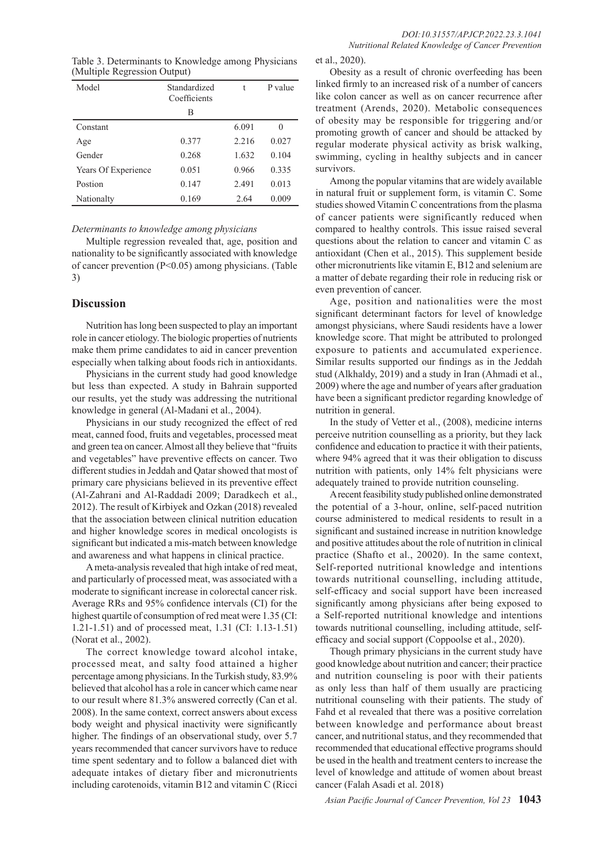Table 3. Determinants to Knowledge among Physicians (Multiple Regression Output)

| Model               | Standardized<br>Coefficients |       | P value |
|---------------------|------------------------------|-------|---------|
|                     | В                            |       |         |
| Constant            |                              | 6.091 | 0       |
| Age                 | 0.377                        | 2.216 | 0.027   |
| Gender              | 0.268                        | 1.632 | 0.104   |
| Years Of Experience | 0.051                        | 0.966 | 0.335   |
| Postion             | 0.147                        | 2.491 | 0.013   |
| Nationalty          | 0.169                        | 2.64  | 0.009   |

*Determinants to knowledge among physicians*

Multiple regression revealed that, age, position and nationality to be significantly associated with knowledge of cancer prevention (P<0.05) among physicians. (Table 3)

# **Discussion**

Nutrition has long been suspected to play an important role in cancer etiology. The biologic properties of nutrients make them prime candidates to aid in cancer prevention especially when talking about foods rich in antioxidants.

Physicians in the current study had good knowledge but less than expected. A study in Bahrain supported our results, yet the study was addressing the nutritional knowledge in general (Al-Madani et al., 2004).

Physicians in our study recognized the effect of red meat, canned food, fruits and vegetables, processed meat and green tea on cancer. Almost all they believe that "fruits and vegetables" have preventive effects on cancer. Two different studies in Jeddah and Qatar showed that most of primary care physicians believed in its preventive effect (Al-Zahrani and Al-Raddadi 2009; Daradkech et al., 2012). The result of Kirbiyek and Ozkan (2018) revealed that the association between clinical nutrition education and higher knowledge scores in medical oncologists is significant but indicated a mis-match between knowledge and awareness and what happens in clinical practice.

A meta-analysis revealed that high intake of red meat, and particularly of processed meat, was associated with a moderate to significant increase in colorectal cancer risk. Average RRs and 95% confidence intervals (CI) for the highest quartile of consumption of red meat were 1.35 (CI: 1.21-1.51) and of processed meat, 1.31 (CI: 1.13-1.51) (Norat et al., 2002).

The correct knowledge toward alcohol intake, processed meat, and salty food attained a higher percentage among physicians. In the Turkish study, 83.9% believed that alcohol has a role in cancer which came near to our result where 81.3% answered correctly (Can et al. 2008). In the same context, correct answers about excess body weight and physical inactivity were significantly higher. The findings of an observational study, over 5.7 years recommended that cancer survivors have to reduce time spent sedentary and to follow a balanced diet with adequate intakes of dietary fiber and micronutrients including carotenoids, vitamin B12 and vitamin C (Ricci et al., 2020).

Obesity as a result of chronic overfeeding has been linked firmly to an increased risk of a number of cancers like colon cancer as well as on cancer recurrence after treatment (Arends, 2020). Metabolic consequences of obesity may be responsible for triggering and/or promoting growth of cancer and should be attacked by regular moderate physical activity as brisk walking, swimming, cycling in healthy subjects and in cancer survivors.

Among the popular vitamins that are widely available in natural fruit or supplement form, is vitamin C. Some studies showed Vitamin C concentrations from the plasma of cancer patients were significantly reduced when compared to healthy controls. This issue raised several questions about the relation to cancer and vitamin C as antioxidant (Chen et al., 2015). This supplement beside other micronutrients like vitamin E, B12 and selenium are a matter of debate regarding their role in reducing risk or even prevention of cancer.

Age, position and nationalities were the most significant determinant factors for level of knowledge amongst physicians, where Saudi residents have a lower knowledge score. That might be attributed to prolonged exposure to patients and accumulated experience. Similar results supported our findings as in the Jeddah stud (Alkhaldy, 2019) and a study in Iran (Ahmadi et al., 2009) where the age and number of years after graduation have been a significant predictor regarding knowledge of nutrition in general.

In the study of Vetter et al., (2008), medicine interns perceive nutrition counselling as a priority, but they lack confidence and education to practice it with their patients, where 94% agreed that it was their obligation to discuss nutrition with patients, only 14% felt physicians were adequately trained to provide nutrition counseling.

A recent feasibility study published online demonstrated the potential of a 3-hour, online, self-paced nutrition course administered to medical residents to result in a significant and sustained increase in nutrition knowledge and positive attitudes about the role of nutrition in clinical practice (Shafto et al., 20020). In the same context, Self-reported nutritional knowledge and intentions towards nutritional counselling, including attitude, self-efficacy and social support have been increased significantly among physicians after being exposed to a Self-reported nutritional knowledge and intentions towards nutritional counselling, including attitude, selfefficacy and social support (Coppoolse et al., 2020).

Though primary physicians in the current study have good knowledge about nutrition and cancer; their practice and nutrition counseling is poor with their patients as only less than half of them usually are practicing nutritional counseling with their patients. The study of Fahd et al revealed that there was a positive correlation between knowledge and performance about breast cancer, and nutritional status, and they recommended that recommended that educational effective programs should be used in the health and treatment centers to increase the level of knowledge and attitude of women about breast cancer (Falah Asadi et al. 2018)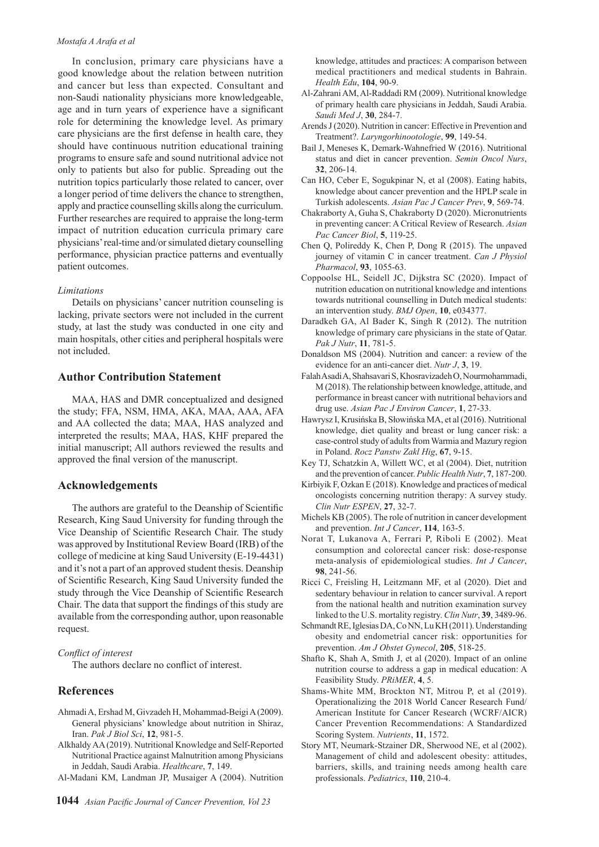#### *Mostafa A Arafa et al*

In conclusion, primary care physicians have a good knowledge about the relation between nutrition and cancer but less than expected. Consultant and non-Saudi nationality physicians more knowledgeable, age and in turn years of experience have a significant role for determining the knowledge level. As primary care physicians are the first defense in health care, they should have continuous nutrition educational training programs to ensure safe and sound nutritional advice not only to patients but also for public. Spreading out the nutrition topics particularly those related to cancer, over a longer period of time delivers the chance to strengthen, apply and practice counselling skills along the curriculum. Further researches are required to appraise the long-term impact of nutrition education curricula primary care physicians' real-time and/or simulated dietary counselling performance, physician practice patterns and eventually patient outcomes.

### *Limitations*

Details on physicians' cancer nutrition counseling is lacking, private sectors were not included in the current study, at last the study was conducted in one city and main hospitals, other cities and peripheral hospitals were not included.

## **Author Contribution Statement**

MAA, HAS and DMR conceptualized and designed the study; FFA, NSM, HMA, AKA, MAA, AAA, AFA and AA collected the data; MAA, HAS analyzed and interpreted the results; MAA, HAS, KHF prepared the initial manuscript; All authors reviewed the results and approved the final version of the manuscript.

# **Acknowledgements**

The authors are grateful to the Deanship of Scientific Research, King Saud University for funding through the Vice Deanship of Scientific Research Chair. The study was approved by Institutional Review Board (IRB) of the college of medicine at king Saud University (E-19-4431) and it's not a part of an approved student thesis. Deanship of Scientific Research, King Saud University funded the study through the Vice Deanship of Scientific Research Chair. The data that support the findings of this study are available from the corresponding author, upon reasonable request.

## *Conflict of interest*

The authors declare no conflict of interest.

# **References**

- Ahmadi A, Ershad M, Givzadeh H, Mohammad-Beigi A (2009). General physicians' knowledge about nutrition in Shiraz, Iran. *Pak J Biol Sci*, **12**, 981-5.
- Alkhaldy AA (2019). Nutritional Knowledge and Self-Reported Nutritional Practice against Malnutrition among Physicians in Jeddah, Saudi Arabia. *Healthcare*, **7**, 149.
- Al-Madani KM, Landman JP, Musaiger A (2004). Nutrition

knowledge, attitudes and practices: A comparison between medical practitioners and medical students in Bahrain. *Health Edu*, **104**, 90-9.

- Al-Zahrani AM, Al-Raddadi RM (2009). Nutritional knowledge of primary health care physicians in Jeddah, Saudi Arabia. *Saudi Med J*, **30**, 284-7.
- Arends J (2020). Nutrition in cancer: Effective in Prevention and Treatment?. *Laryngorhinootologie*, **99**, 149-54.
- Bail J, Meneses K, Demark-Wahnefried W (2016). Nutritional status and diet in cancer prevention. *Semin Oncol Nurs*, **32**, 206-14.
- Can HO, Ceber E, Sogukpinar N, et al (2008). Eating habits, knowledge about cancer prevention and the HPLP scale in Turkish adolescents. *Asian Pac J Cancer Prev*, **9**, 569-74.
- Chakraborty A, Guha S, Chakraborty D (2020). Micronutrients in preventing cancer: A Critical Review of Research. *Asian Pac Cancer Biol*, **5**, 119-25.
- Chen Q, Polireddy K, Chen P, Dong R (2015). The unpaved journey of vitamin C in cancer treatment. *Can J Physiol Pharmacol*, **93**, 1055-63.
- Coppoolse HL, Seidell JC, Dijkstra SC (2020). Impact of nutrition education on nutritional knowledge and intentions towards nutritional counselling in Dutch medical students: an intervention study. *BMJ Open*, **10**, e034377.
- Daradkeh GA, Al Bader K, Singh R (2012). The nutrition knowledge of primary care physicians in the state of Qatar. *Pak J Nutr*, **11**, 781-5.
- Donaldson MS (2004). Nutrition and cancer: a review of the evidence for an anti-cancer diet. *Nutr J*, **3**, 19.
- Falah Asadi A, Shahsavari S, Khosravizadeh O, Nourmohammadi, M (2018). The relationship between knowledge, attitude, and performance in breast cancer with nutritional behaviors and drug use. *Asian Pac J Environ Cancer*, **1**, 27-33.
- Hawrysz I, Krusińska B, Słowińska MA, et al (2016). Nutritional knowledge, diet quality and breast or lung cancer risk: a case-control study of adults from Warmia and Mazury region in Poland. *Rocz Panstw Zakl Hig*, **67**, 9-15.
- Key TJ, Schatzkin A, Willett WC, et al (2004). Diet, nutrition and the prevention of cancer. *Public Health Nutr*, **7**, 187-200.
- Kirbiyik F, Ozkan E (2018). Knowledge and practices of medical oncologists concerning nutrition therapy: A survey study. *Clin Nutr ESPEN*, **27**, 32-7.
- Michels KB (2005). The role of nutrition in cancer development and prevention. *Int J Cancer*, **114**, 163-5.
- Norat T, Lukanova A, Ferrari P, Riboli E (2002). Meat consumption and colorectal cancer risk: dose-response meta-analysis of epidemiological studies. *Int J Cancer*, **98**, 241-56.
- Ricci C, Freisling H, Leitzmann MF, et al (2020). Diet and sedentary behaviour in relation to cancer survival. A report from the national health and nutrition examination survey linked to the U.S. mortality registry. *Clin Nutr*, **39**, 3489-96.
- Schmandt RE, Iglesias DA, Co NN, Lu KH (2011). Understanding obesity and endometrial cancer risk: opportunities for prevention. *Am J Obstet Gynecol*, **205**, 518-25.
- Shafto K, Shah A, Smith J, et al (2020). Impact of an online nutrition course to address a gap in medical education: A Feasibility Study. *PRiMER*, **4**, 5.
- Shams-White MM, Brockton NT, Mitrou P, et al (2019). Operationalizing the 2018 World Cancer Research Fund/ American Institute for Cancer Research (WCRF/AICR) Cancer Prevention Recommendations: A Standardized Scoring System. *Nutrients*, **11**, 1572.
- Story MT, Neumark-Stzainer DR, Sherwood NE, et al (2002). Management of child and adolescent obesity: attitudes, barriers, skills, and training needs among health care professionals. *Pediatrics*, **110**, 210-4.